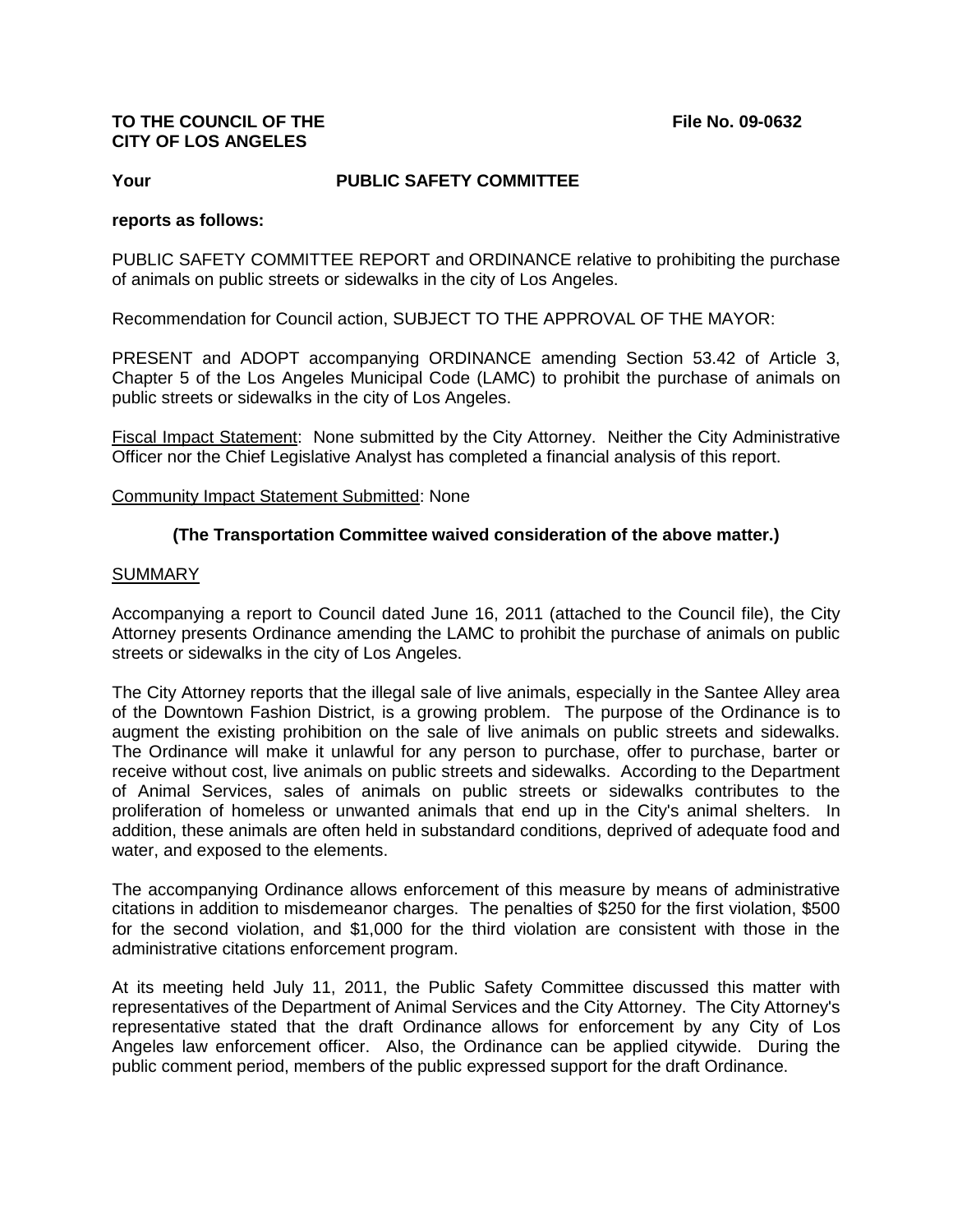## **TO THE COUNCIL OF THE File No. 09-0632 CITY OF LOS ANGELES**

### **Your PUBLIC SAFETY COMMITTEE**

#### **reports as follows:**

PUBLIC SAFETY COMMITTEE REPORT and ORDINANCE relative to prohibiting the purchase of animals on public streets or sidewalks in the city of Los Angeles.

Recommendation for Council action, SUBJECT TO THE APPROVAL OF THE MAYOR:

PRESENT and ADOPT accompanying ORDINANCE amending Section 53.42 of Article 3, Chapter 5 of the Los Angeles Municipal Code (LAMC) to prohibit the purchase of animals on public streets or sidewalks in the city of Los Angeles.

Fiscal Impact Statement: None submitted by the City Attorney. Neither the City Administrative Officer nor the Chief Legislative Analyst has completed a financial analysis of this report.

#### Community Impact Statement Submitted: None

## **(The Transportation Committee waived consideration of the above matter.)**

#### SUMMARY

Accompanying a report to Council dated June 16, 2011 (attached to the Council file), the City Attorney presents Ordinance amending the LAMC to prohibit the purchase of animals on public streets or sidewalks in the city of Los Angeles.

The City Attorney reports that the illegal sale of live animals, especially in the Santee Alley area of the Downtown Fashion District, is a growing problem. The purpose of the Ordinance is to augment the existing prohibition on the sale of live animals on public streets and sidewalks. The Ordinance will make it unlawful for any person to purchase, offer to purchase, barter or receive without cost, live animals on public streets and sidewalks. According to the Department of Animal Services, sales of animals on public streets or sidewalks contributes to the proliferation of homeless or unwanted animals that end up in the City's animal shelters. In addition, these animals are often held in substandard conditions, deprived of adequate food and water, and exposed to the elements.

The accompanying Ordinance allows enforcement of this measure by means of administrative citations in addition to misdemeanor charges. The penalties of \$250 for the first violation, \$500 for the second violation, and \$1,000 for the third violation are consistent with those in the administrative citations enforcement program.

At its meeting held July 11, 2011, the Public Safety Committee discussed this matter with representatives of the Department of Animal Services and the City Attorney. The City Attorney's representative stated that the draft Ordinance allows for enforcement by any City of Los Angeles law enforcement officer. Also, the Ordinance can be applied citywide. During the public comment period, members of the public expressed support for the draft Ordinance.